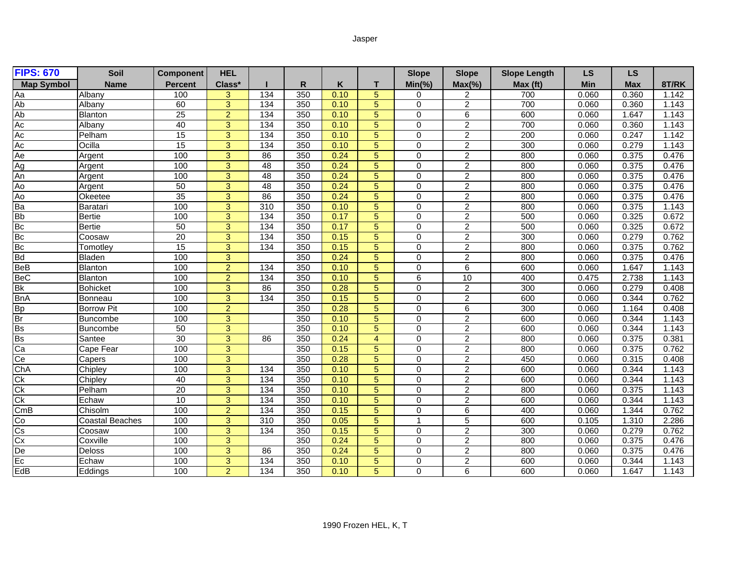## Jasper

| <b>FIPS: 670</b>            | Soil                   | <b>Component</b> | <b>HEL</b>     |                  |     |      |                | <b>Slope</b> | <b>Slope</b>     | <b>Slope Length</b> | LS    | <b>LS</b>  |       |
|-----------------------------|------------------------|------------------|----------------|------------------|-----|------|----------------|--------------|------------------|---------------------|-------|------------|-------|
| <b>Map Symbol</b>           | <b>Name</b>            | Percent          | Class*         |                  | R   | Κ    | т              | $Min(\% )$   | $Max(\% )$       | Max (ft)            | Min   | <b>Max</b> | 8T/RK |
| Aa                          | Albany                 | 100              | 3              | 134              | 350 | 0.10 | 5              | 0            | $\overline{c}$   | 700                 | 0.060 | 0.360      | 1.142 |
| Ab                          | Albany                 | 60               | $\overline{3}$ | 134              | 350 | 0.10 | 5              | 0            | $\overline{2}$   | 700                 | 0.060 | 0.360      | 1.143 |
| Ab                          | Blanton                | 25               | $\overline{2}$ | 134              | 350 | 0.10 | 5              | $\mathbf 0$  | $\overline{6}$   | 600                 | 0.060 | 1.647      | 1.143 |
| Ac                          | Albany                 | 40               | $\overline{3}$ | 134              | 350 | 0.10 | 5              | $\mathbf 0$  | $\overline{2}$   | 700                 | 0.060 | 0.360      | 1.143 |
| Ac                          | Pelham                 | $\overline{15}$  | 3              | 134              | 350 | 0.10 | 5              | $\mathbf 0$  | $\overline{2}$   | 200                 | 0.060 | 0.247      | 1.142 |
| Ac                          | Ocilla                 | $\overline{15}$  | 3              | 134              | 350 | 0.10 | 5              | $\mathbf 0$  | $\overline{c}$   | 300                 | 0.060 | 0.279      | 1.143 |
| Ae                          | Argent                 | 100              | $\overline{3}$ | 86               | 350 | 0.24 | 5              | $\mathbf 0$  | $\overline{2}$   | 800                 | 0.060 | 0.375      | 0.476 |
| Ag                          | Argent                 | 100              | 3              | $\overline{48}$  | 350 | 0.24 | 5              | $\mathbf 0$  | $\overline{c}$   | 800                 | 0.060 | 0.375      | 0.476 |
| An                          | Argent                 | 100              | $\overline{3}$ | 48               | 350 | 0.24 | 5              | $\mathbf 0$  | $\overline{2}$   | 800                 | 0.060 | 0.375      | 0.476 |
| Ao                          | Argent                 | 50               | 3              | $\overline{48}$  | 350 | 0.24 | 5              | $\mathbf 0$  | $\overline{2}$   | 800                 | 0.060 | 0.375      | 0.476 |
| Ao                          | Okeetee                | 35               | 3              | 86               | 350 | 0.24 | 5              | $\mathbf 0$  | $\overline{2}$   | 800                 | 0.060 | 0.375      | 0.476 |
| Ba                          | Baratari               | 100              | 3              | 310              | 350 | 0.10 | 5              | $\mathbf 0$  | $\overline{2}$   | 800                 | 0.060 | 0.375      | 1.143 |
| <b>Bb</b>                   | Bertie                 | 100              | 3              | 134              | 350 | 0.17 | 5              | $\mathbf 0$  | $\sqrt{2}$       | 500                 | 0.060 | 0.325      | 0.672 |
| Bc                          | <b>Bertie</b>          | 50               | 3              | 134              | 350 | 0.17 | 5              | 0            | $\overline{2}$   | 500                 | 0.060 | 0.325      | 0.672 |
| $rac{\text{BC}}{\text{BC}}$ | Coosaw                 | $\overline{20}$  | $\overline{3}$ | $\overline{134}$ | 350 | 0.15 | 5              | $\mathbf 0$  | $\overline{2}$   | 300                 | 0.060 | 0.279      | 0.762 |
|                             | Tomotley               | 15               | $\overline{3}$ | 134              | 350 | 0.15 | 5              | $\mathbf 0$  | $\overline{2}$   | 800                 | 0.060 | 0.375      | 0.762 |
| <b>Bd</b>                   | <b>Bladen</b>          | 100              | $\overline{3}$ |                  | 350 | 0.24 | 5              | $\mathbf 0$  | $\overline{2}$   | 800                 | 0.060 | 0.375      | 0.476 |
| <b>BeB</b>                  | Blanton                | 100              | $\overline{2}$ | 134              | 350 | 0.10 | 5              | $\mathbf 0$  | 6                | 600                 | 0.060 | 1.647      | 1.143 |
| <b>BeC</b>                  | Blanton                | 100              | $\overline{2}$ | $\frac{1}{34}$   | 350 | 0.10 | 5              | 6            | 10               | 400                 | 0.475 | 2.738      | 1.143 |
| <b>Bk</b>                   | <b>Bohicket</b>        | 100              | 3              | 86               | 350 | 0.28 | 5              | 0            | $\overline{2}$   | 300                 | 0.060 | 0.279      | 0.408 |
| <b>BnA</b>                  | Bonneau                | 100              | 3              | 134              | 350 | 0.15 | 5              | $\mathbf 0$  | $\overline{c}$   | 600                 | 0.060 | 0.344      | 0.762 |
| $\frac{Bp}{Br}$             | <b>Borrow Pit</b>      | 100              | $\overline{a}$ |                  | 350 | 0.28 | 5              | 0            | 6                | 300                 | 0.060 | 1.164      | 0.408 |
|                             | Buncombe               | 100              | $\overline{3}$ |                  | 350 | 0.10 | 5              | $\mathbf 0$  | $\overline{2}$   | 600                 | 0.060 | 0.344      | 1.143 |
| <b>Bs</b>                   | <b>Buncombe</b>        | 50               | $\overline{3}$ |                  | 350 | 0.10 | 5              | $\Omega$     | $\overline{2}$   | 600                 | 0.060 | 0.344      | 1.143 |
| <b>Bs</b>                   | Santee                 | 30               | $\overline{3}$ | 86               | 350 | 0.24 | $\overline{4}$ | $\mathbf 0$  | $\overline{2}$   | 800                 | 0.060 | 0.375      | 0.381 |
| Ca                          | Cape Fear              | 100              | 3              |                  | 350 | 0.15 | 5              | $\mathbf 0$  | $\boldsymbol{2}$ | 800                 | 0.060 | 0.375      | 0.762 |
| Ce                          | Capers                 | 100              | $\overline{3}$ |                  | 350 | 0.28 | 5              | $\mathbf 0$  | $\overline{2}$   | 450                 | 0.060 | 0.315      | 0.408 |
| ChA                         | Chipley                | 100              | 3              | 134              | 350 | 0.10 | 5              | $\mathbf 0$  | $\overline{c}$   | 600                 | 0.060 | 0.344      | 1.143 |
| Ck                          | Chipley                | 40               | $\overline{3}$ | 134              | 350 | 0.10 | 5              | 0            | $\overline{2}$   | 600                 | 0.060 | 0.344      | 1.143 |
| Ck                          | Pelham                 | $\overline{20}$  | $\overline{3}$ | 134              | 350 | 0.10 | 5              | $\mathbf 0$  | $\overline{2}$   | 800                 | 0.060 | 0.375      | 1.143 |
| Ck                          | Echaw                  | 10               | 3              | $\frac{1}{34}$   | 350 | 0.10 | 5              | $\Omega$     | $\overline{2}$   | 600                 | 0.060 | 0.344      | 1.143 |
| CmB                         | Chisolm                | 100              | $\overline{2}$ | 134              | 350 | 0.15 | 5              | $\Omega$     | 6                | 400                 | 0.060 | 1.344      | 0.762 |
| Ю                           | <b>Coastal Beaches</b> | 100              | 3              | $\overline{310}$ | 350 | 0.05 | 5              | $\mathbf{1}$ | $\overline{5}$   | 600                 | 0.105 | 1.310      | 2.286 |
| Cs                          | Coosaw                 | 100              | 3              | 134              | 350 | 0.15 | 5              | $\mathbf 0$  | $\overline{2}$   | 300                 | 0.060 | 0.279      | 0.762 |
| Cx                          | Coxville               | 100              | $\overline{3}$ |                  | 350 | 0.24 | 5              | $\pmb{0}$    | $\overline{2}$   | 800                 | 0.060 | 0.375      | 0.476 |
| De                          | Deloss                 | 100              | 3              | 86               | 350 | 0.24 | 5              | $\mathbf 0$  | $\overline{2}$   | 800                 | 0.060 | 0.375      | 0.476 |
| Ec                          | Echaw                  | 100              | 3              | 134              | 350 | 0.10 | 5              | 0            | $\overline{2}$   | 600                 | 0.060 | 0.344      | 1.143 |
| EdB                         | Eddings                | 100              | $\overline{2}$ | $\overline{134}$ | 350 | 0.10 | 5              | $\mathbf 0$  | $\overline{6}$   | 600                 | 0.060 | 1.647      | 1.143 |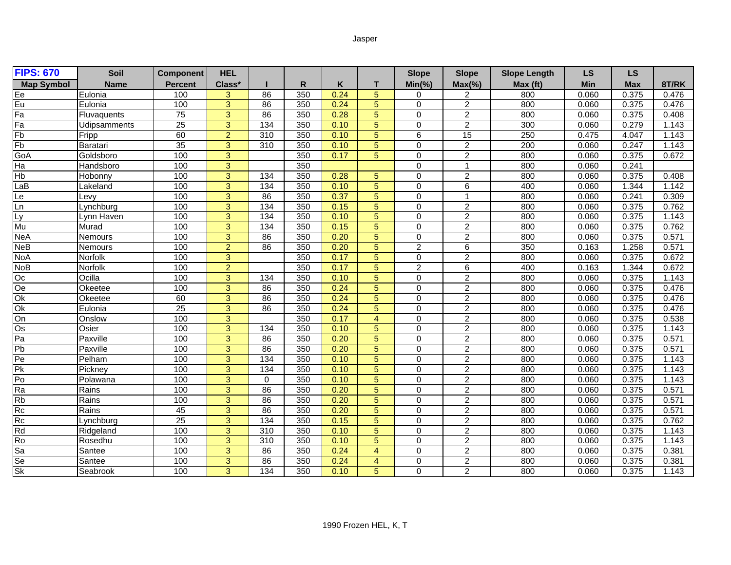## Jasper

| <b>FIPS: 670</b>  | Soil                | <b>Component</b> | <b>HEL</b>     |                 |     |      |                | <b>Slope</b>   | <b>Slope</b>     | <b>Slope Length</b> | <b>LS</b>  | <b>LS</b>  |       |
|-------------------|---------------------|------------------|----------------|-----------------|-----|------|----------------|----------------|------------------|---------------------|------------|------------|-------|
| <b>Map Symbol</b> | <b>Name</b>         | <b>Percent</b>   | Class*         |                 | R   | K    | Т              | $Min(\% )$     | $Max(\% )$       | Max (ft)            | <b>Min</b> | <b>Max</b> | 8T/RK |
|                   | Eulonia             | 100              | 3              | 86              | 350 | 0.24 | 5              | 0              | 2                | 800                 | 0.060      | 0.375      | 0.476 |
| Ee<br>Fa          | Eulonia             | 100              | $\overline{3}$ | 86              | 350 | 0.24 | 5              | 0              | $\overline{2}$   | 800                 | 0.060      | 0.375      | 0.476 |
|                   | Fluvaquents         | 75               | $\overline{3}$ | 86              | 350 | 0.28 | 5              | $\mathbf 0$    | $\overline{2}$   | 800                 | 0.060      | 0.375      | 0.408 |
| Fa                | <b>Udipsamments</b> | $\overline{25}$  | $\overline{3}$ | 134             | 350 | 0.10 | 5              | $\mathbf 0$    | $\overline{2}$   | 300                 | 0.060      | 0.279      | 1.143 |
| Fb                | Fripp               | 60               | $\overline{2}$ | 310             | 350 | 0.10 | 5              | 6              | 15               | 250                 | 0.475      | 4.047      | 1.143 |
| Fb                | Baratari            | $\overline{35}$  | 3              | 310             | 350 | 0.10 | 5              | $\Omega$       | $\overline{c}$   | 200                 | 0.060      | 0.247      | 1.143 |
| GoA               | Goldsboro           | 100              | $\overline{3}$ |                 | 350 | 0.17 | 5              | $\overline{0}$ | $\overline{2}$   | 800                 | 0.060      | 0.375      | 0.672 |
| Ha                | Handsboro           | 100              | 3              |                 | 350 |      |                | $\Omega$       | -1               | 800                 | 0.060      | 0.241      |       |
| Hb                | Hobonny             | 100              | $\overline{3}$ | 134             | 350 | 0.28 | 5              | $\Omega$       | $\overline{2}$   | 800                 | 0.060      | 0.375      | 0.408 |
| aB                | Lakeland            | 100              | 3              | 134             | 350 | 0.10 | 5              | $\Omega$       | 6                | 400                 | 0.060      | 1.344      | 1.142 |
| Le                | _evy                | 100              | 3              | 86              | 350 | 0.37 | 5              | $\Omega$       | $\overline{ }$   | 800                 | 0.060      | 0.241      | 0.309 |
| Ln                | Lynchburg           | 100              | $\overline{3}$ | 134             | 350 | 0.15 | 5              | $\mathbf 0$    | $\overline{2}$   | 800                 | 0.060      | 0.375      | 0.762 |
| Ly                | Lynn Haven          | 100              | 3              | 134             | 350 | 0.10 | 5              | $\mathbf 0$    | $\overline{c}$   | 800                 | 0.060      | 0.375      | 1.143 |
| Mu                | Murad               | 100              | $\overline{3}$ | 134             | 350 | 0.15 | 5              | $\mathbf 0$    | $\overline{2}$   | 800                 | 0.060      | 0.375      | 0.762 |
| $N$ e $A$         | <b>Nemours</b>      | 100              | $\overline{3}$ | 86              | 350 | 0.20 | 5              | $\overline{0}$ | $\overline{2}$   | 800                 | 0.060      | 0.375      | 0.571 |
| <b>NeB</b>        | Nemours             | 100              | $\overline{2}$ | $\overline{86}$ | 350 | 0.20 | 5              | $\overline{2}$ | $\overline{6}$   | 350                 | 0.163      | 1.258      | 0.571 |
| <b>NoA</b>        | Norfolk             | 100              | $\overline{3}$ |                 | 350 | 0.17 | 5              | $\mathbf 0$    | $\overline{2}$   | 800                 | 0.060      | 0.375      | 0.672 |
| <b>NoB</b>        | Norfolk             | 100              | $\overline{2}$ |                 | 350 | 0.17 | 5              | $\overline{2}$ | 6                | 400                 | 0.163      | 1.344      | 0.672 |
| Оc                | Ocilla              | 100              | $\overline{3}$ | 134             | 350 | 0.10 | 5              | $\mathbf 0$    | $\overline{2}$   | 800                 | 0.060      | 0.375      | 1.143 |
| Oe                | Okeetee             | 100              | 3              | 86              | 350 | 0.24 | 5              | 0              | $\overline{2}$   | 800                 | 0.060      | 0.375      | 0.476 |
| Ok                | Okeetee             | 60               | 3              | 86              | 350 | 0.24 | 5              | $\mathbf 0$    | $\overline{2}$   | 800                 | 0.060      | 0.375      | 0.476 |
| Ok                | Eulonia             | 25               | 3              | 86              | 350 | 0.24 | 5              | 0              | $\overline{2}$   | 800                 | 0.060      | 0.375      | 0.476 |
| $\frac{1}{2}$     | Onslow              | 100              | $\overline{3}$ |                 | 350 | 0.17 | 4              | $\Omega$       | $\overline{2}$   | 800                 | 0.060      | 0.375      | 0.538 |
| $\overline{Os}$   | Osier               | 100              | $\overline{3}$ | 134             | 350 | 0.10 | 5              | $\Omega$       | $\overline{2}$   | 800                 | 0.060      | 0.375      | 1.143 |
| $\overline{Pa}$   | Paxville            | 100              | $\overline{3}$ | 86              | 350 | 0.20 | 5              | $\mathbf 0$    | $\overline{2}$   | 800                 | 0.060      | 0.375      | 0.571 |
| Pb                | Paxville            | 100              | 3              | 86              | 350 | 0.20 | 5              | $\mathbf 0$    | $\boldsymbol{2}$ | 800                 | 0.060      | 0.375      | 0.571 |
| P <sub>e</sub>    | Pelham              | 100              | 3              | 134             | 350 | 0.10 | 5              | $\mathbf 0$    | $\overline{2}$   | 800                 | 0.060      | 0.375      | 1.143 |
| Pk                | Pickney             | 100              | 3              | 134             | 350 | 0.10 | 5              | $\mathbf 0$    | $\overline{2}$   | 800                 | 0.060      | 0.375      | 1.143 |
| Po                | Polawana            | 100              | $\overline{3}$ | $\Omega$        | 350 | 0.10 | 5              | $\mathbf 0$    | $\overline{2}$   | 800                 | 0.060      | 0.375      | 1.143 |
| Ra                | Rains               | 100              | $\overline{3}$ | 86              | 350 | 0.20 | 5              | $\mathbf 0$    | $\overline{2}$   | 800                 | 0.060      | 0.375      | 0.571 |
| <b>Rb</b>         | Rains               | 100              | 3              | 86              | 350 | 0.20 | 5              | $\mathbf 0$    | $\overline{2}$   | 800                 | 0.060      | 0.375      | 0.571 |
| Rc                | Rains               | 45               | $\overline{3}$ | 86              | 350 | 0.20 | 5              | $\Omega$       | $\overline{2}$   | 800                 | 0.060      | 0.375      | 0.571 |
| Rc                | Lynchburg           | $\overline{25}$  | 3              | 134             | 350 | 0.15 | 5              | $\mathbf 0$    | $\overline{2}$   | 800                 | 0.060      | 0.375      | 0.762 |
| Rd                | Ridgeland           | 100              | 3              | 310             | 350 | 0.10 | 5              | $\Omega$       | $\overline{2}$   | 800                 | 0.060      | 0.375      | 1.143 |
| Ro                | Rosedhu             | 100              | $\overline{3}$ | 310             | 350 | 0.10 | 5              | $\mathbf 0$    | $\overline{2}$   | 800                 | 0.060      | 0.375      | 1.143 |
| Sa                | Santee              | 100              | 3              | 86              | 350 | 0.24 | $\overline{4}$ | $\mathbf 0$    | $\overline{2}$   | 800                 | 0.060      | 0.375      | 0.381 |
| Se<br>Sk          | Santee              | 100              | $\overline{3}$ | 86              | 350 | 0.24 | 4              | $\mathbf 0$    | $\overline{2}$   | 800                 | 0.060      | 0.375      | 0.381 |
|                   | Seabrook            | 100              | $\overline{3}$ | $\frac{1}{34}$  | 350 | 0.10 | 5              | $\overline{0}$ | $\overline{2}$   | 800                 | 0.060      | 0.375      | 1.143 |